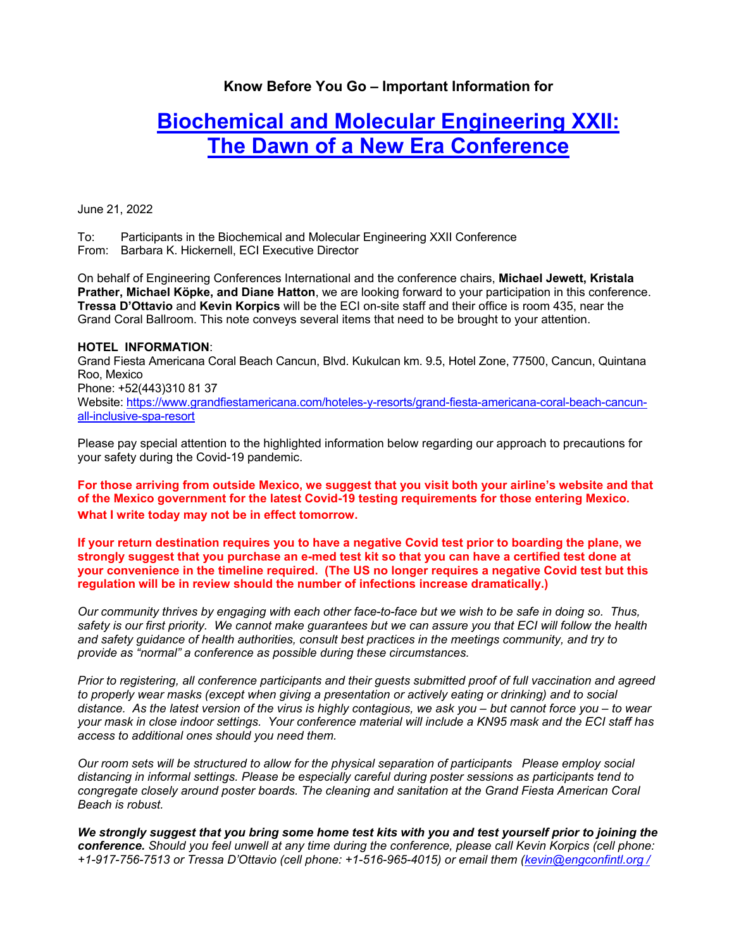# **Know Before You Go – Important Information for**

# **Biochemical and Molecular Engineering XXII: The Dawn of a New Era Conference**

June 21, 2022

To: Participants in the Biochemical and Molecular Engineering XXII Conference From: Barbara K. Hickernell, ECI Executive Director

On behalf of Engineering Conferences International and the conference chairs, **Michael Jewett, Kristala Prather, Michael Köpke, and Diane Hatton**, we are looking forward to your participation in this conference. **Tressa D'Ottavio** and **Kevin Korpics** will be the ECI on-site staff and their office is room 435, near the Grand Coral Ballroom. This note conveys several items that need to be brought to your attention.

#### **HOTEL INFORMATION**:

Grand Fiesta Americana Coral Beach Cancun, Blvd. Kukulcan km. 9.5, Hotel Zone, 77500, Cancun, Quintana Roo, Mexico Phone: +52(443)310 81 37 Website: https://www.grandfiestamericana.com/hoteles-y-resorts/grand-fiesta-americana-coral-beach-cancunall-inclusive-spa-resort

Please pay special attention to the highlighted information below regarding our approach to precautions for your safety during the Covid-19 pandemic.

**For those arriving from outside Mexico, we suggest that you visit both your airline's website and that of the Mexico government for the latest Covid-19 testing requirements for those entering Mexico. what I write today may not be in effect tomorrow.** 

**If your return destination requires you to have a negative Covid test prior to boarding the plane, we strongly suggest that you purchase an e-med test kit so that you can have a certified test done at your convenience in the timeline required. (The US no longer requires a negative Covid test but this regulation will be in review should the number of infections increase dramatically.)** 

*Our community thrives by engaging with each other face-to-face but we wish to be safe in doing so. Thus, safety is our first priority. We cannot make guarantees but we can assure you that ECI will follow the health and safety guidance of health authorities, consult best practices in the meetings community, and try to provide as "normal" a conference as possible during these circumstances.* 

*Prior to registering, all conference participants and their guests submitted proof of full vaccination and agreed to properly wear masks (except when giving a presentation or actively eating or drinking) and to social distance. As the latest version of the virus is highly contagious, we ask you – but cannot force you – to wear your mask in close indoor settings. Your conference material will include a KN95 mask and the ECI staff has access to additional ones should you need them.* 

*Our room sets will be structured to allow for the physical separation of participants Please employ social distancing in informal settings. Please be especially careful during poster sessions as participants tend to congregate closely around poster boards. The cleaning and sanitation at the Grand Fiesta American Coral Beach is robust.* 

*We strongly suggest that you bring some home test kits with you and test yourself prior to joining the conference. Should you feel unwell at any time during the conference, please call Kevin Korpics (cell phone: +1-917-756-7513 or Tressa D'Ottavio (cell phone: +1-516-965-4015) or email them (kevin@engconfintl.org /*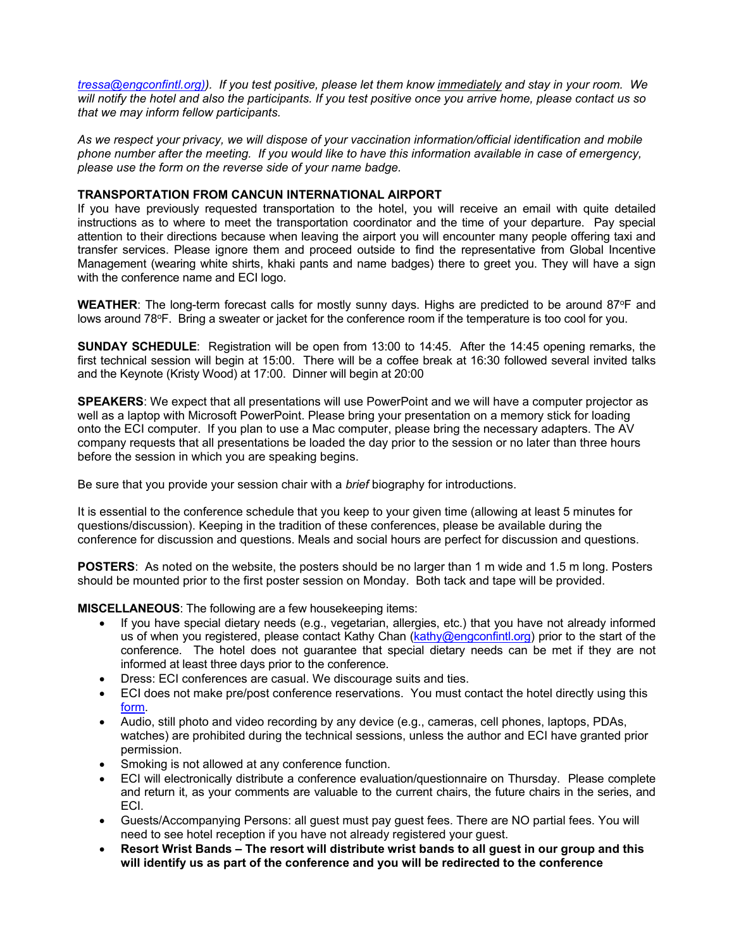*tressa@engconfintl.org)). If you test positive, please let them know immediately and stay in your room. We will notify the hotel and also the participants. If you test positive once you arrive home, please contact us so that we may inform fellow participants.* 

*As we respect your privacy, we will dispose of your vaccination information/official identification and mobile phone number after the meeting. If you would like to have this information available in case of emergency, please use the form on the reverse side of your name badge.*

## **TRANSPORTATION FROM CANCUN INTERNATIONAL AIRPORT**

If you have previously requested transportation to the hotel, you will receive an email with quite detailed instructions as to where to meet the transportation coordinator and the time of your departure. Pay special attention to their directions because when leaving the airport you will encounter many people offering taxi and transfer services. Please ignore them and proceed outside to find the representative from Global Incentive Management (wearing white shirts, khaki pants and name badges) there to greet you. They will have a sign with the conference name and ECI logo.

**WEATHER:** The long-term forecast calls for mostly sunny days. Highs are predicted to be around 87°F and lows around 78°F. Bring a sweater or jacket for the conference room if the temperature is too cool for you.

**SUNDAY SCHEDULE**: Registration will be open from 13:00 to 14:45. After the 14:45 opening remarks, the first technical session will begin at 15:00. There will be a coffee break at 16:30 followed several invited talks and the Keynote (Kristy Wood) at 17:00. Dinner will begin at 20:00

**SPEAKERS**: We expect that all presentations will use PowerPoint and we will have a computer projector as well as a laptop with Microsoft PowerPoint. Please bring your presentation on a memory stick for loading onto the ECI computer. If you plan to use a Mac computer, please bring the necessary adapters. The AV company requests that all presentations be loaded the day prior to the session or no later than three hours before the session in which you are speaking begins.

Be sure that you provide your session chair with a *brief* biography for introductions.

It is essential to the conference schedule that you keep to your given time (allowing at least 5 minutes for questions/discussion). Keeping in the tradition of these conferences, please be available during the conference for discussion and questions. Meals and social hours are perfect for discussion and questions.

**POSTERS**: As noted on the website, the posters should be no larger than 1 m wide and 1.5 m long. Posters should be mounted prior to the first poster session on Monday. Both tack and tape will be provided.

**MISCELLANEOUS**: The following are a few housekeeping items:

- If you have special dietary needs (e.g., vegetarian, allergies, etc.) that you have not already informed us of when you registered, please contact Kathy Chan ( $kathy@engconfintl.org$ ) prior to the start of the conference. The hotel does not guarantee that special dietary needs can be met if they are not informed at least three days prior to the conference.
- Dress: ECI conferences are casual. We discourage suits and ties.
- ECI does not make pre/post conference reservations. You must contact the hotel directly using this form.
- Audio, still photo and video recording by any device (e.g., cameras, cell phones, laptops, PDAs, watches) are prohibited during the technical sessions, unless the author and ECI have granted prior permission.
- Smoking is not allowed at any conference function.
- ECI will electronically distribute a conference evaluation/questionnaire on Thursday. Please complete and return it, as your comments are valuable to the current chairs, the future chairs in the series, and ECI.
- Guests/Accompanying Persons: all guest must pay guest fees. There are NO partial fees. You will need to see hotel reception if you have not already registered your guest.
- **Resort Wrist Bands The resort will distribute wrist bands to all guest in our group and this will identify us as part of the conference and you will be redirected to the conference**